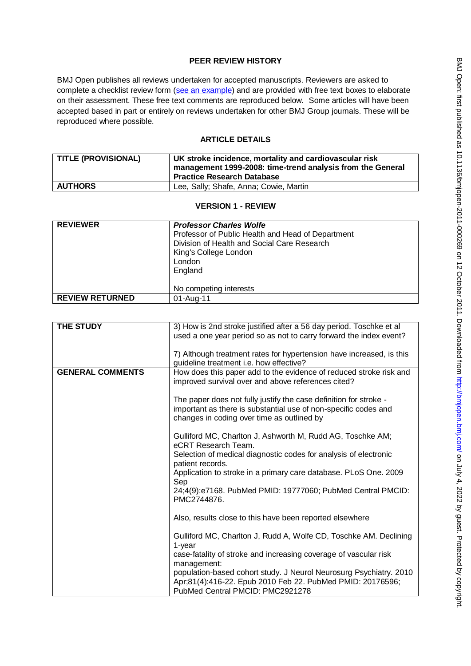# **PEER REVIEW HISTORY**

BMJ Open publishes all reviews undertaken for accepted manuscripts. Reviewers are asked to complete a checklist review form [\(see an example\)](http://bmjopen.bmj.com/site/about/resources/ScholarOne_Manuscripts.pdf) and are provided with free text boxes to elaborate on their assessment. These free text comments are reproduced below. Some articles will have been accepted based in part or entirely on reviews undertaken for other BMJ Group journals. These will be reproduced where possible.

# **ARTICLE DETAILS**

| <b>TITLE (PROVISIONAL)</b> | UK stroke incidence, mortality and cardiovascular risk<br>management 1999-2008: time-trend analysis from the General<br><b>Practice Research Database</b> |
|----------------------------|-----------------------------------------------------------------------------------------------------------------------------------------------------------|
| <b>AUTHORS</b>             | Lee, Sally; Shafe, Anna; Cowie, Martin                                                                                                                    |

#### **VERSION 1 - REVIEW**

| <b>REVIEWER</b>        | <b>Professor Charles Wolfe</b><br>Professor of Public Health and Head of Department<br>Division of Health and Social Care Research<br>King's College London<br>London<br>England |
|------------------------|----------------------------------------------------------------------------------------------------------------------------------------------------------------------------------|
|                        | No competing interests                                                                                                                                                           |
| <b>REVIEW RETURNED</b> | 01-Aug-11                                                                                                                                                                        |

| THE STUDY               | 3) How is 2nd stroke justified after a 56 day period. Toschke et al<br>used a one year period so as not to carry forward the index event?                                          |
|-------------------------|------------------------------------------------------------------------------------------------------------------------------------------------------------------------------------|
|                         | 7) Although treatment rates for hypertension have increased, is this<br>guideline treatment i.e. how effective?                                                                    |
| <b>GENERAL COMMENTS</b> | How does this paper add to the evidence of reduced stroke risk and<br>improved survival over and above references cited?                                                           |
|                         | The paper does not fully justify the case definition for stroke -<br>important as there is substantial use of non-specific codes and<br>changes in coding over time as outlined by |
|                         | Gulliford MC, Charlton J, Ashworth M, Rudd AG, Toschke AM;<br>eCRT Research Team.                                                                                                  |
|                         | Selection of medical diagnostic codes for analysis of electronic<br>patient records.                                                                                               |
|                         | Application to stroke in a primary care database. PLoS One. 2009<br>Sep                                                                                                            |
|                         | 24;4(9):e7168. PubMed PMID: 19777060; PubMed Central PMCID:<br>PMC2744876.                                                                                                         |
|                         | Also, results close to this have been reported elsewhere                                                                                                                           |
|                         | Gulliford MC, Charlton J, Rudd A, Wolfe CD, Toschke AM. Declining<br>$1$ -year                                                                                                     |
|                         | case-fatality of stroke and increasing coverage of vascular risk<br>management:                                                                                                    |
|                         | population-based cohort study. J Neurol Neurosurg Psychiatry. 2010<br>Apr;81(4):416-22. Epub 2010 Feb 22. PubMed PMID: 20176596;<br>PubMed Central PMCID: PMC2921278               |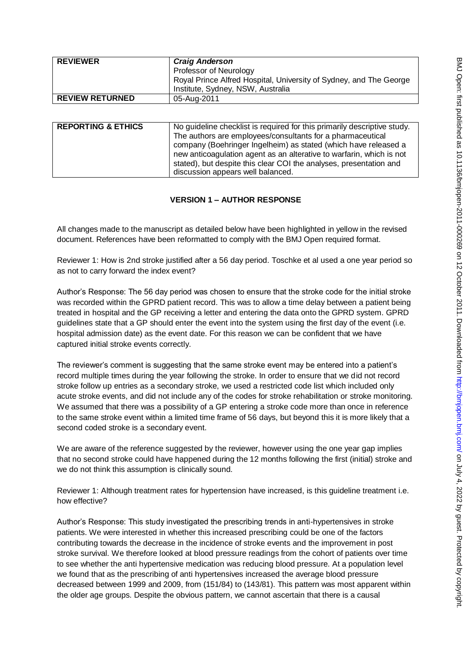| <b>REVIEWER</b>        | <b>Craig Anderson</b>                                                                                   |
|------------------------|---------------------------------------------------------------------------------------------------------|
|                        | Professor of Neurology                                                                                  |
|                        | Royal Prince Alfred Hospital, University of Sydney, and The George<br>Institute, Sydney, NSW, Australia |
| <b>REVIEW RETURNED</b> | 05-Aug-2011                                                                                             |

| <b>REPORTING &amp; ETHICS</b> | No guideline checklist is required for this primarily descriptive study. |
|-------------------------------|--------------------------------------------------------------------------|
|                               | The authors are employees/consultants for a pharmaceutical               |
|                               | company (Boehringer Ingelheim) as stated (which have released a          |
|                               | new anticoagulation agent as an alterative to warfarin, which is not     |
|                               | stated), but despite this clear COI the analyses, presentation and       |
|                               | discussion appears well balanced.                                        |

# **VERSION 1 – AUTHOR RESPONSE**

All changes made to the manuscript as detailed below have been highlighted in yellow in the revised document. References have been reformatted to comply with the BMJ Open required format.

Reviewer 1: How is 2nd stroke justified after a 56 day period. Toschke et al used a one year period so as not to carry forward the index event?

Author's Response: The 56 day period was chosen to ensure that the stroke code for the initial stroke was recorded within the GPRD patient record. This was to allow a time delay between a patient being treated in hospital and the GP receiving a letter and entering the data onto the GPRD system. GPRD guidelines state that a GP should enter the event into the system using the first day of the event (i.e. hospital admission date) as the event date. For this reason we can be confident that we have captured initial stroke events correctly.

The reviewer's comment is suggesting that the same stroke event may be entered into a patient's record multiple times during the year following the stroke. In order to ensure that we did not record stroke follow up entries as a secondary stroke, we used a restricted code list which included only acute stroke events, and did not include any of the codes for stroke rehabilitation or stroke monitoring. We assumed that there was a possibility of a GP entering a stroke code more than once in reference to the same stroke event within a limited time frame of 56 days, but beyond this it is more likely that a second coded stroke is a secondary event.

We are aware of the reference suggested by the reviewer, however using the one year gap implies that no second stroke could have happened during the 12 months following the first (initial) stroke and we do not think this assumption is clinically sound.

Reviewer 1: Although treatment rates for hypertension have increased, is this guideline treatment i.e. how effective?

Author's Response: This study investigated the prescribing trends in anti-hypertensives in stroke patients. We were interested in whether this increased prescribing could be one of the factors contributing towards the decrease in the incidence of stroke events and the improvement in post stroke survival. We therefore looked at blood pressure readings from the cohort of patients over time to see whether the anti hypertensive medication was reducing blood pressure. At a population level we found that as the prescribing of anti hypertensives increased the average blood pressure decreased between 1999 and 2009, from (151/84) to (143/81). This pattern was most apparent within the older age groups. Despite the obvious pattern, we cannot ascertain that there is a causal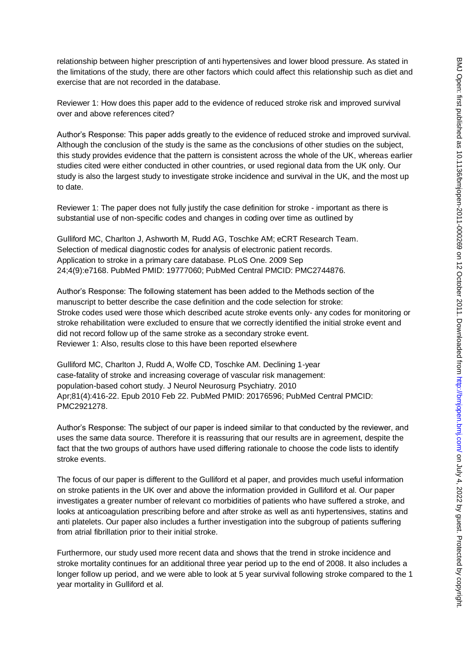relationship between higher prescription of anti hypertensives and lower blood pressure. As stated in the limitations of the study, there are other factors which could affect this relationship such as diet and exercise that are not recorded in the database.

Reviewer 1: How does this paper add to the evidence of reduced stroke risk and improved survival over and above references cited?

Author's Response: This paper adds greatly to the evidence of reduced stroke and improved survival. Although the conclusion of the study is the same as the conclusions of other studies on the subject, this study provides evidence that the pattern is consistent across the whole of the UK, whereas earlier studies cited were either conducted in other countries, or used regional data from the UK only. Our study is also the largest study to investigate stroke incidence and survival in the UK, and the most up to date.

Reviewer 1: The paper does not fully justify the case definition for stroke - important as there is substantial use of non-specific codes and changes in coding over time as outlined by

Gulliford MC, Charlton J, Ashworth M, Rudd AG, Toschke AM; eCRT Research Team. Selection of medical diagnostic codes for analysis of electronic patient records. Application to stroke in a primary care database. PLoS One. 2009 Sep 24;4(9):e7168. PubMed PMID: 19777060; PubMed Central PMCID: PMC2744876.

Author's Response: The following statement has been added to the Methods section of the manuscript to better describe the case definition and the code selection for stroke: Stroke codes used were those which described acute stroke events only- any codes for monitoring or stroke rehabilitation were excluded to ensure that we correctly identified the initial stroke event and did not record follow up of the same stroke as a secondary stroke event. Reviewer 1: Also, results close to this have been reported elsewhere

Gulliford MC, Charlton J, Rudd A, Wolfe CD, Toschke AM. Declining 1-year case-fatality of stroke and increasing coverage of vascular risk management: population-based cohort study. J Neurol Neurosurg Psychiatry. 2010 Apr;81(4):416-22. Epub 2010 Feb 22. PubMed PMID: 20176596; PubMed Central PMCID: PMC2921278.

Author's Response: The subject of our paper is indeed similar to that conducted by the reviewer, and uses the same data source. Therefore it is reassuring that our results are in agreement, despite the fact that the two groups of authors have used differing rationale to choose the code lists to identify stroke events.

The focus of our paper is different to the Gulliford et al paper, and provides much useful information on stroke patients in the UK over and above the information provided in Gulliford et al. Our paper investigates a greater number of relevant co morbidities of patients who have suffered a stroke, and looks at anticoagulation prescribing before and after stroke as well as anti hypertensives, statins and anti platelets. Our paper also includes a further investigation into the subgroup of patients suffering from atrial fibrillation prior to their initial stroke.

Furthermore, our study used more recent data and shows that the trend in stroke incidence and stroke mortality continues for an additional three year period up to the end of 2008. It also includes a longer follow up period, and we were able to look at 5 year survival following stroke compared to the 1 year mortality in Gulliford et al.